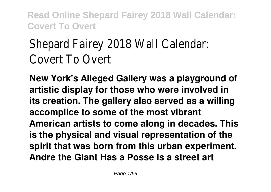# Shepard Fairey 2018 Wall Calendar: Covert To Overt

**New York's Alleged Gallery was a playground of artistic display for those who were involved in its creation. The gallery also served as a willing accomplice to some of the most vibrant American artists to come along in decades. This is the physical and visual representation of the spirit that was born from this urban experiment. Andre the Giant Has a Posse is a street art**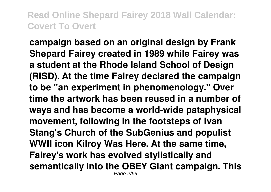**campaign based on an original design by Frank Shepard Fairey created in 1989 while Fairey was a student at the Rhode Island School of Design (RISD). At the time Fairey declared the campaign to be "an experiment in phenomenology." Over time the artwork has been reused in a number of ways and has become a world-wide pataphysical movement, following in the footsteps of Ivan Stang's Church of the SubGenius and populist WWII icon Kilroy Was Here. At the same time, Fairey's work has evolved stylistically and semantically into the OBEY Giant campaign. This** Page 2/69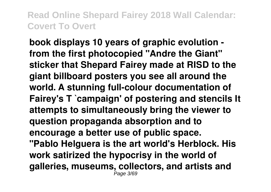**book displays 10 years of graphic evolution from the first photocopied "Andre the Giant" sticker that Shepard Fairey made at RISD to the giant billboard posters you see all around the world. A stunning full-colour documentation of Fairey's T `campaign' of postering and stencils It attempts to simultaneously bring the viewer to question propaganda absorption and to encourage a better use of public space. "Pablo Helguera is the art world's Herblock. His work satirized the hypocrisy in the world of galleries, museums, collectors, and artists and** Page 3/69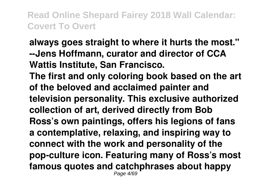**always goes straight to where it hurts the most." --Jens Hoffmann, curator and director of CCA Wattis Institute, San Francisco. The first and only coloring book based on the art of the beloved and acclaimed painter and television personality. This exclusive authorized collection of art, derived directly from Bob Ross's own paintings, offers his legions of fans a contemplative, relaxing, and inspiring way to connect with the work and personality of the pop-culture icon. Featuring many of Ross's most famous quotes and catchphrases about happy** Page 4/69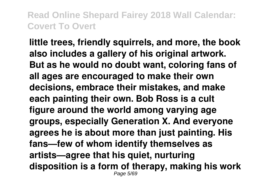**little trees, friendly squirrels, and more, the book also includes a gallery of his original artwork. But as he would no doubt want, coloring fans of all ages are encouraged to make their own decisions, embrace their mistakes, and make each painting their own. Bob Ross is a cult figure around the world among varying age groups, especially Generation X. And everyone agrees he is about more than just painting. His fans—few of whom identify themselves as artists—agree that his quiet, nurturing disposition is a form of therapy, making his work** Page 5/69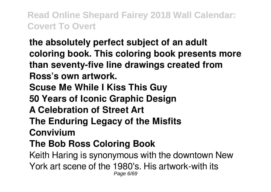**the absolutely perfect subject of an adult coloring book. This coloring book presents more than seventy-five line drawings created from Ross's own artwork. Scuse Me While I Kiss This Guy 50 Years of Iconic Graphic Design A Celebration of Street Art The Enduring Legacy of the Misfits Convivium The Bob Ross Coloring Book** Keith Haring is synonymous with the downtown New York art scene of the 1980's. His artwork-with its Page 6/69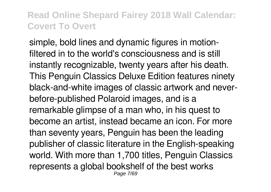simple, bold lines and dynamic figures in motionfiltered in to the world's consciousness and is still instantly recognizable, twenty years after his death. This Penguin Classics Deluxe Edition features ninety black-and-white images of classic artwork and neverbefore-published Polaroid images, and is a remarkable glimpse of a man who, in his quest to become an artist, instead became an icon. For more than seventy years, Penguin has been the leading publisher of classic literature in the English-speaking world. With more than 1,700 titles, Penguin Classics represents a global bookshelf of the best works Page 7/69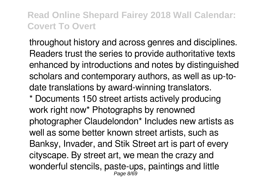throughout history and across genres and disciplines. Readers trust the series to provide authoritative texts enhanced by introductions and notes by distinguished scholars and contemporary authors, as well as up-todate translations by award-winning translators.

\* Documents 150 street artists actively producing work right now\* Photographs by renowned photographer Claudelondon\* Includes new artists as well as some better known street artists, such as Banksy, Invader, and Stik Street art is part of every cityscape. By street art, we mean the crazy and wonderful stencils, paste-ups, paintings and little Page 8/69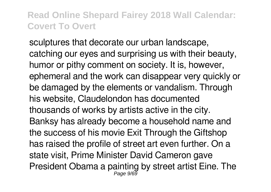sculptures that decorate our urban landscape, catching our eyes and surprising us with their beauty, humor or pithy comment on society. It is, however, ephemeral and the work can disappear very quickly or be damaged by the elements or vandalism. Through his website, Claudelondon has documented thousands of works by artists active in the city. Banksy has already become a household name and the success of his movie Exit Through the Giftshop has raised the profile of street art even further. On a state visit, Prime Minister David Cameron gave President Obama a painting by street artist Eine. The Page 9/69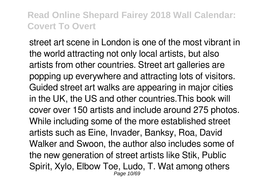street art scene in London is one of the most vibrant in the world attracting not only local artists, but also artists from other countries. Street art galleries are popping up everywhere and attracting lots of visitors. Guided street art walks are appearing in major cities in the UK, the US and other countries.This book will cover over 150 artists and include around 275 photos. While including some of the more established street artists such as Eine, Invader, Banksy, Roa, David Walker and Swoon, the author also includes some of the new generation of street artists like Stik, Public Spirit, Xylo, Elbow Toe, Ludo, T. Wat among others Page 10/69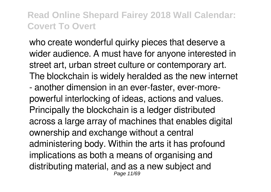who create wonderful quirky pieces that deserve a wider audience. A must have for anyone interested in street art, urban street culture or contemporary art. The blockchain is widely heralded as the new internet - another dimension in an ever-faster, ever-morepowerful interlocking of ideas, actions and values. Principally the blockchain is a ledger distributed across a large array of machines that enables digital ownership and exchange without a central administering body. Within the arts it has profound implications as both a means of organising and distributing material, and as a new subject and Page 11/69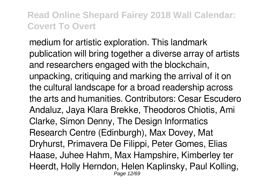medium for artistic exploration. This landmark publication will bring together a diverse array of artists and researchers engaged with the blockchain, unpacking, critiquing and marking the arrival of it on the cultural landscape for a broad readership across the arts and humanities. Contributors: Cesar Escudero Andaluz, Jaya Klara Brekke, Theodoros Chiotis, Ami Clarke, Simon Denny, The Design Informatics Research Centre (Edinburgh), Max Dovey, Mat Dryhurst, Primavera De Filippi, Peter Gomes, Elias Haase, Juhee Hahm, Max Hampshire, Kimberley ter Heerdt, Holly Herndon, Helen Kaplinsky, Paul Kolling, Page 12/69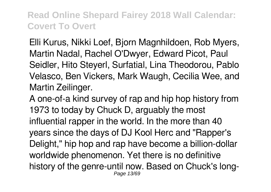Elli Kurus, Nikki Loef, Bjorn Magnhildoen, Rob Myers, Martin Nadal, Rachel O'Dwyer, Edward Picot, Paul Seidler, Hito Steyerl, Surfatial, Lina Theodorou, Pablo Velasco, Ben Vickers, Mark Waugh, Cecilia Wee, and Martin Zeilinger.

A one-of-a kind survey of rap and hip hop history from 1973 to today by Chuck D, arguably the most influential rapper in the world. In the more than 40 years since the days of DJ Kool Herc and "Rapper's Delight," hip hop and rap have become a billion-dollar worldwide phenomenon. Yet there is no definitive history of the genre-until now. Based on Chuck's long-Page 13/69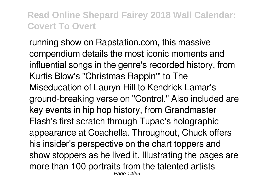running show on Rapstation.com, this massive compendium details the most iconic moments and influential songs in the genre's recorded history, from Kurtis Blow's "Christmas Rappin'" to The Miseducation of Lauryn Hill to Kendrick Lamar's ground-breaking verse on "Control." Also included are key events in hip hop history, from Grandmaster Flash's first scratch through Tupac's holographic appearance at Coachella. Throughout, Chuck offers his insider's perspective on the chart toppers and show stoppers as he lived it. Illustrating the pages are more than 100 portraits from the talented artists Page 14/69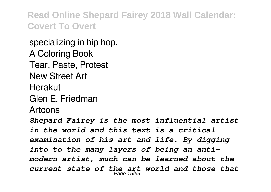specializing in hip hop. A Coloring Book Tear, Paste, Protest New Street Art Herakut Glen E. Friedman Artoons *Shepard Fairey is the most influential artist in the world and this text is a critical examination of his art and life. By digging into to the many layers of being an antimodern artist, much can be learned about the current state of the art world and those that* Page 15/69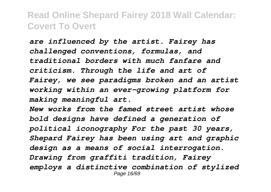*are influenced by the artist. Fairey has challenged conventions, formulas, and traditional borders with much fanfare and criticism. Through the life and art of Fairey, we see paradigms broken and an artist working within an ever-growing platform for making meaningful art.*

*New works from the famed street artist whose bold designs have defined a generation of political iconography For the past 30 years, Shepard Fairey has been using art and graphic design as a means of social interrogation. Drawing from graffiti tradition, Fairey employs a distinctive combination of stylized* Page 16/69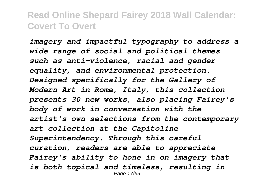*imagery and impactful typography to address a wide range of social and political themes such as anti-violence, racial and gender equality, and environmental protection. Designed specifically for the Gallery of Modern Art in Rome, Italy, this collection presents 30 new works, also placing Fairey's body of work in conversation with the artist's own selections from the contemporary art collection at the Capitoline Superintendency. Through this careful curation, readers are able to appreciate Fairey's ability to hone in on imagery that is both topical and timeless, resulting in* Page 17/69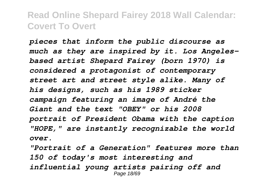*pieces that inform the public discourse as much as they are inspired by it. Los Angelesbased artist Shepard Fairey (born 1970) is considered a protagonist of contemporary street art and street style alike. Many of his designs, such as his 1989 sticker campaign featuring an image of André the Giant and the text "OBEY" or his 2008 portrait of President Obama with the caption "HOPE," are instantly recognizable the world over.*

*"Portrait of a Generation" features more than 150 of today's most interesting and influential young artists pairing off and* Page 18/69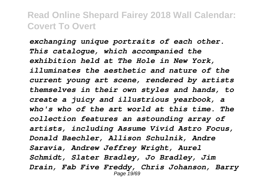*exchanging unique portraits of each other. This catalogue, which accompanied the exhibition held at The Hole in New York, illuminates the aesthetic and nature of the current young art scene, rendered by artists themselves in their own styles and hands, to create a juicy and illustrious yearbook, a who's who of the art world at this time. The collection features an astounding array of artists, including Assume Vivid Astro Focus, Donald Baechler, Allison Schulnik, Andre Saravia, Andrew Jeffrey Wright, Aurel Schmidt, Slater Bradley, Jo Bradley, Jim Drain, Fab Five Freddy, Chris Johanson, Barry* Page 19/69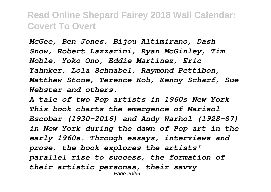*McGee, Ben Jones, Bijou Altimirano, Dash Snow, Robert Lazzarini, Ryan McGinley, Tim Noble, Yoko Ono, Eddie Martinez, Eric Yahnker, Lola Schnabel, Raymond Pettibon, Matthew Stone, Terence Koh, Kenny Scharf, Sue Webster and others.*

*A tale of two Pop artists in 1960s New York This book charts the emergence of Marisol Escobar (1930-2016) and Andy Warhol (1928-87) in New York during the dawn of Pop art in the early 1960s. Through essays, interviews and prose, the book explores the artists' parallel rise to success, the formation of their artistic personas, their savvy* Page 20/69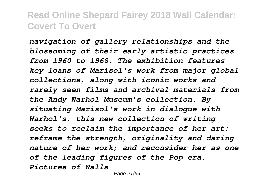*navigation of gallery relationships and the blossoming of their early artistic practices from 1960 to 1968. The exhibition features key loans of Marisol's work from major global collections, along with iconic works and rarely seen films and archival materials from the Andy Warhol Museum's collection. By situating Marisol's work in dialogue with Warhol's, this new collection of writing seeks to reclaim the importance of her art; reframe the strength, originality and daring nature of her work; and reconsider her as one of the leading figures of the Pop era. Pictures of Walls*

Page 21/69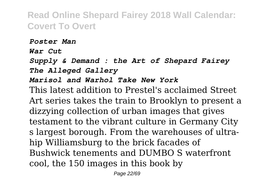*Poster Man*

*War Cut*

*Supply & Demand : the Art of Shepard Fairey The Alleged Gallery*

#### *Marisol and Warhol Take New York*

This latest addition to Prestel's acclaimed Street Art series takes the train to Brooklyn to present a dizzying collection of urban images that gives testament to the vibrant culture in Germany City s largest borough. From the warehouses of ultrahip Williamsburg to the brick facades of Bushwick tenements and DUMBO S waterfront cool, the 150 images in this book by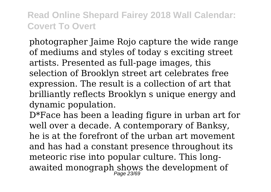photographer Jaime Rojo capture the wide range of mediums and styles of today s exciting street artists. Presented as full-page images, this selection of Brooklyn street art celebrates free expression. The result is a collection of art that brilliantly reflects Brooklyn s unique energy and dynamic population.

D\*Face has been a leading figure in urban art for well over a decade. A contemporary of Banksy, he is at the forefront of the urban art movement and has had a constant presence throughout its meteoric rise into popular culture. This longawaited monograph shows the development of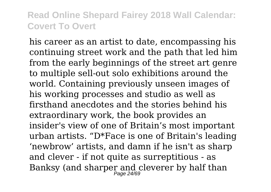his career as an artist to date, encompassing his continuing street work and the path that led him from the early beginnings of the street art genre to multiple sell-out solo exhibitions around the world. Containing previously unseen images of his working processes and studio as well as firsthand anecdotes and the stories behind his extraordinary work, the book provides an insider's view of one of Britain's most important urban artists. "D\*Face is one of Britain's leading 'newbrow' artists, and damn if he isn't as sharp and clever - if not quite as surreptitious - as Banksy (and sharper and cleverer by half than<br> $P_{\sf age}$  24/69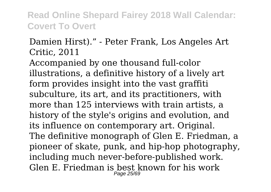#### Damien Hirst)." - Peter Frank, Los Angeles Art Critic, 2011

Accompanied by one thousand full-color illustrations, a definitive history of a lively art form provides insight into the vast graffiti subculture, its art, and its practitioners, with more than 125 interviews with train artists, a history of the style's origins and evolution, and its influence on contemporary art. Original. The definitive monograph of Glen E. Friedman, a pioneer of skate, punk, and hip-hop photography, including much never-before-published work. Glen E. Friedman is best known for his work Page 25/69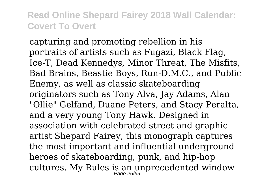capturing and promoting rebellion in his portraits of artists such as Fugazi, Black Flag, Ice-T, Dead Kennedys, Minor Threat, The Misfits, Bad Brains, Beastie Boys, Run-D.M.C., and Public Enemy, as well as classic skateboarding originators such as Tony Alva, Jay Adams, Alan "Ollie" Gelfand, Duane Peters, and Stacy Peralta, and a very young Tony Hawk. Designed in association with celebrated street and graphic artist Shepard Fairey, this monograph captures the most important and influential underground heroes of skateboarding, punk, and hip-hop cultures. My Rules is an unprecedented window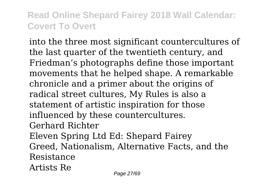into the three most significant countercultures of the last quarter of the twentieth century, and Friedman's photographs define those important movements that he helped shape. A remarkable chronicle and a primer about the origins of radical street cultures, My Rules is also a statement of artistic inspiration for those influenced by these countercultures. Gerhard Richter Eleven Spring Ltd Ed: Shepard Fairey Greed, Nationalism, Alternative Facts, and the Resistance Artists Re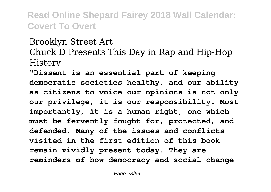#### Brooklyn Street Art Chuck D Presents This Day in Rap and Hip-Hop History

**"Dissent is an essential part of keeping democratic societies healthy, and our ability as citizens to voice our opinions is not only our privilege, it is our responsibility. Most importantly, it is a human right, one which must be fervently fought for, protected, and defended. Many of the issues and conflicts visited in the first edition of this book remain vividly present today. They are reminders of how democracy and social change**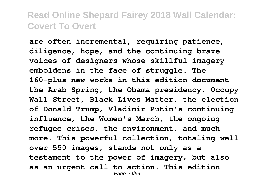**are often incremental, requiring patience, diligence, hope, and the continuing brave voices of designers whose skillful imagery emboldens in the face of struggle. The 160-plus new works in this edition document the Arab Spring, the Obama presidency, Occupy Wall Street, Black Lives Matter, the election of Donald Trump, Vladimir Putin's continuing influence, the Women's March, the ongoing refugee crises, the environment, and much more. This powerful collection, totaling well over 550 images, stands not only as a testament to the power of imagery, but also as an urgent call to action. This edition** Page 29/69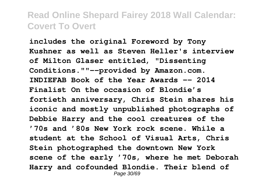**includes the original Foreword by Tony Kushner as well as Steven Heller's interview of Milton Glaser entitled, "Dissenting Conditions.""--provided by Amazon.com. INDIEFAB Book of the Year Awards -- 2014 Finalist On the occasion of Blondie's fortieth anniversary, Chris Stein shares his iconic and mostly unpublished photographs of Debbie Harry and the cool creatures of the '70s and '80s New York rock scene. While a student at the School of Visual Arts, Chris Stein photographed the downtown New York scene of the early '70s, where he met Deborah Harry and cofounded Blondie. Their blend of** Page 30/69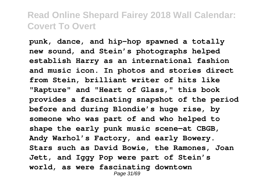**punk, dance, and hip-hop spawned a totally new sound, and Stein's photographs helped establish Harry as an international fashion and music icon. In photos and stories direct from Stein, brilliant writer of hits like "Rapture" and "Heart of Glass," this book provides a fascinating snapshot of the period before and during Blondie's huge rise, by someone who was part of and who helped to shape the early punk music scene—at CBGB, Andy Warhol's Factory, and early Bowery. Stars such as David Bowie, the Ramones, Joan Jett, and Iggy Pop were part of Stein's world, as were fascinating downtown** Page 31/69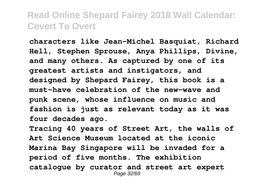**characters like Jean-Michel Basquiat, Richard Hell, Stephen Sprouse, Anya Phillips, Divine, and many others. As captured by one of its greatest artists and instigators, and designed by Shepard Fairey, this book is a must-have celebration of the new-wave and punk scene, whose influence on music and fashion is just as relevant today as it was four decades ago.**

**Tracing 40 years of Street Art, the walls of Art Science Museum located at the iconic Marina Bay Singapore will be invaded for a period of five months. The exhibition catalogue by curator and street art expert** Page 32/69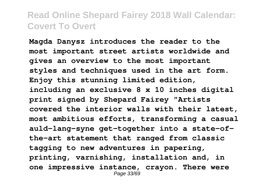**Magda Danysz introduces the reader to the most important street artists worldwide and gives an overview to the most important styles and techniques used in the art form. Enjoy this stunning limited edition, including an exclusive 8 x 10 inches digital print signed by Shepard Fairey "Artists covered the interior walls with their latest, most ambitious efforts, transforming a casual auld-lang-syne get-together into a state-ofthe-art statement that ranged from classic tagging to new adventures in papering, printing, varnishing, installation and, in one impressive instance, crayon. There were** Page 33/69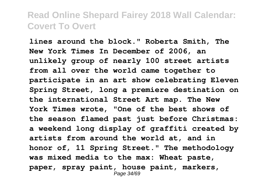**lines around the block." Roberta Smith, The New York Times In December of 2006, an unlikely group of nearly 100 street artists from all over the world came together to participate in an art show celebrating Eleven Spring Street, long a premiere destination on the international Street Art map. The New York Times wrote, "One of the best shows of the season flamed past just before Christmas: a weekend long display of graffiti created by artists from around the world at, and in honor of, 11 Spring Street." The methodology was mixed media to the max: Wheat paste, paper, spray paint, house paint, markers,** Page 34/69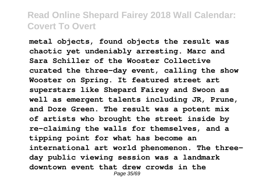**metal objects, found objects the result was chaotic yet undeniably arresting. Marc and Sara Schiller of the Wooster Collective curated the three-day event, calling the show Wooster on Spring. It featured street art superstars like Shepard Fairey and Swoon as well as emergent talents including JR, Prune, and Doze Green. The result was a potent mix of artists who brought the street inside by re-claiming the walls for themselves, and a tipping point for what has become an international art world phenomenon. The threeday public viewing session was a landmark downtown event that drew crowds in the** Page 35/69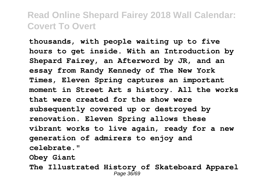**thousands, with people waiting up to five hours to get inside. With an Introduction by Shepard Fairey, an Afterword by JR, and an essay from Randy Kennedy of The New York Times, Eleven Spring captures an important moment in Street Art s history. All the works that were created for the show were subsequently covered up or destroyed by renovation. Eleven Spring allows these vibrant works to live again, ready for a new generation of admirers to enjoy and celebrate."**

**Obey Giant**

**The Illustrated History of Skateboard Apparel** Page 36/69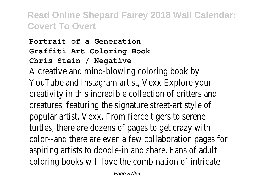#### **Portrait of a Generation Graffiti Art Coloring Book Chris Stein / Negative**

A creative and mind-blowing coloring book by YouTube and Instagram artist, Vexx Explore your creativity in this incredible collection of critters and creatures, featuring the signature street-art style of popular artist, Vexx. From fierce tigers to serene turtles, there are dozens of pages to get crazy with color--and there are even a few collaboration pages for aspiring artists to doodle-in and share. Fans of adult coloring books will love the combination of intricate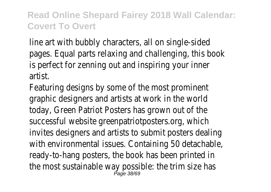line art with bubbly characters, all on single-sided pages. Equal parts relaxing and challenging, this book is perfect for zenning out and inspiring your inner artist.

Featuring designs by some of the most prominent graphic designers and artists at work in the world today, Green Patriot Posters has grown out of the successful website greenpatriotposters.org, which invites designers and artists to submit posters dealing with environmental issues. Containing 50 detachable, ready-to-hang posters, the book has been printed in the most sustainable way possible: the trim size has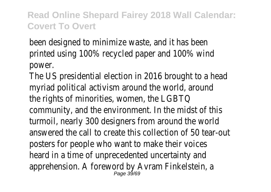been designed to minimize waste, and it has been printed using 100% recycled paper and 100% wind power.

The US presidential election in 2016 brought to a head myriad political activism around the world, around the rights of minorities, women, the LGBTQ community, and the environment. In the midst of this turmoil, nearly 300 designers from around the world answered the call to create this collection of 50 tear-out posters for people who want to make their voices heard in a time of unprecedented uncertainty and apprehension. A foreword by Avram Finkelstein, a Page 39/69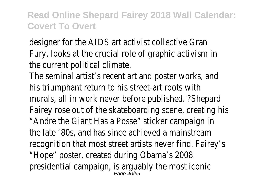designer for the AIDS art activist collective Gran Fury, looks at the crucial role of graphic activism in the current political climate.

The seminal artist's recent art and poster works, and his triumphant return to his street-art roots with murals, all in work never before published. ?Shepard Fairey rose out of the skateboarding scene, creating his "Andre the Giant Has a Posse" sticker campaign in the late '80s, and has since achieved a mainstream recognition that most street artists never find. Fairey's "Hope" poster, created during Obama's 2008 presidential campaign, is arguably the most iconid<br>Page 40/69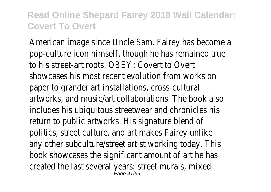American image since Uncle Sam. Fairey has become a pop-culture icon himself, though he has remained true to his street-art roots. OBEY: Covert to Overt showcases his most recent evolution from works on paper to grander art installations, cross-cultural artworks, and music/art collaborations. The book also includes his ubiquitous streetwear and chronicles his return to public artworks. His signature blend of politics, street culture, and art makes Fairey unlike any other subculture/street artist working today. This book showcases the significant amount of art he has created the last several years: street murals, mixed-Page 41/69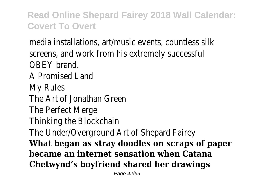media installations, art/music events, countless silk screens, and work from his extremely successful OBEY brand. A Promised Land My Rules The Art of Jonathan Green The Perfect Merge Thinking the Blockchain The Under/Overground Art of Shepard Fairey **What began as stray doodles on scraps of paper became an internet sensation when Catana Chetwynd's boyfriend shared her drawings**

Page 42/69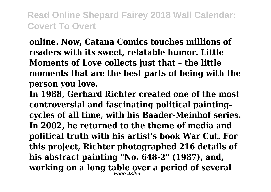**online. Now, Catana Comics touches millions of readers with its sweet, relatable humor. Little Moments of Love collects just that – the little moments that are the best parts of being with the person you love.**

**In 1988, Gerhard Richter created one of the most controversial and fascinating political paintingcycles of all time, with his Baader-Meinhof series. In 2002, he returned to the theme of media and political truth with his artist's book War Cut. For this project, Richter photographed 216 details of his abstract painting "No. 648-2" (1987), and, working on a long table over a period of several** Page 43/69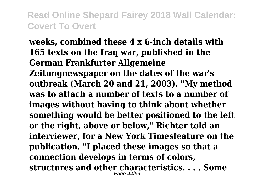**weeks, combined these 4 x 6-inch details with 165 texts on the Iraq war, published in the German Frankfurter Allgemeine Zeitungnewspaper on the dates of the war's outbreak (March 20 and 21, 2003). "My method was to attach a number of texts to a number of images without having to think about whether something would be better positioned to the left or the right, above or below," Richter told an interviewer, for a New York Timesfeature on the publication. "I placed these images so that a connection develops in terms of colors, structures and other characteristics. . . . Some** Page 44/69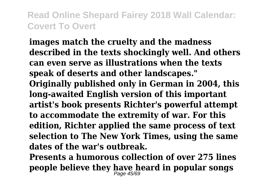**images match the cruelty and the madness described in the texts shockingly well. And others can even serve as illustrations when the texts speak of deserts and other landscapes." Originally published only in German in 2004, this long-awaited English version of this important artist's book presents Richter's powerful attempt to accommodate the extremity of war. For this edition, Richter applied the same process of text selection to The New York Times, using the same dates of the war's outbreak.**

**Presents a humorous collection of over 275 lines people believe they have heard in popular songs** Page 45/69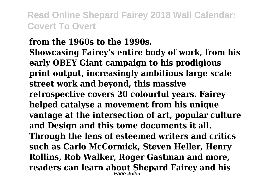**from the 1960s to the 1990s. Showcasing Fairey's entire body of work, from his early OBEY Giant campaign to his prodigious print output, increasingly ambitious large scale street work and beyond, this massive retrospective covers 20 colourful years. Fairey helped catalyse a movement from his unique vantage at the intersection of art, popular culture and Design and this tome documents it all. Through the lens of esteemed writers and critics such as Carlo McCormick, Steven Heller, Henry Rollins, Rob Walker, Roger Gastman and more, readers can learn about Shepard Fairey and his** Page 46/69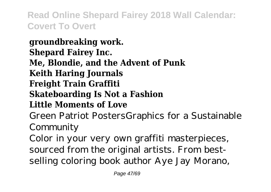**groundbreaking work. Shepard Fairey Inc. Me, Blondie, and the Advent of Punk Keith Haring Journals Freight Train Graffiti Skateboarding Is Not a Fashion Little Moments of Love** Green Patriot PostersGraphics for a Sustainable Community Color in your very own graffiti masterpieces, sourced from the original artists. From bestselling coloring book author Aye Jay Morano,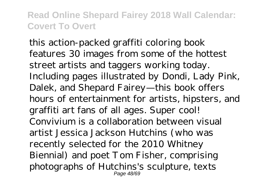this action-packed graffiti coloring book features 30 images from some of the hottest street artists and taggers working today. Including pages illustrated by Dondi, Lady Pink, Dalek, and Shepard Fairey—this book offers hours of entertainment for artists, hipsters, and graffiti art fans of all ages. Super cool! Convivium is a collaboration between visual artist Jessica Jackson Hutchins (who was recently selected for the 2010 Whitney Biennial) and poet Tom Fisher, comprising photographs of Hutchins's sculpture, texts Page 48/69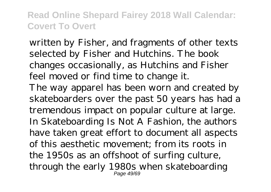written by Fisher, and fragments of other texts selected by Fisher and Hutchins. The book changes occasionally, as Hutchins and Fisher feel moved or find time to change it. The way apparel has been worn and created by skateboarders over the past 50 years has had a tremendous impact on popular culture at large. In Skateboarding Is Not A Fashion, the authors have taken great effort to document all aspects of this aesthetic movement; from its roots in the 1950s as an offshoot of surfing culture, through the early 1980s when skateboarding Page 49/69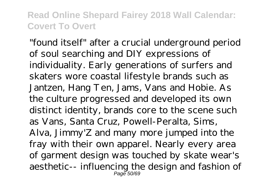"found itself" after a crucial underground period of soul searching and DIY expressions of individuality. Early generations of surfers and skaters wore coastal lifestyle brands such as Jantzen, Hang Ten, Jams, Vans and Hobie. As the culture progressed and developed its own distinct identity, brands core to the scene such as Vans, Santa Cruz, Powell-Peralta, Sims, Alva, Jimmy'Z and many more jumped into the fray with their own apparel. Nearly every area of garment design was touched by skate wear's aesthetic-- influencing the design and fashion of Page 50/69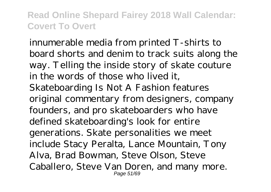innumerable media from printed T-shirts to board shorts and denim to track suits along the way. Telling the inside story of skate couture in the words of those who lived it Skateboarding Is Not A Fashion features original commentary from designers, company founders, and pro skateboarders who have defined skateboarding's look for entire generations. Skate personalities we meet include Stacy Peralta, Lance Mountain, Tony Alva, Brad Bowman, Steve Olson, Steve Caballero, Steve Van Doren, and many more. Page 51/69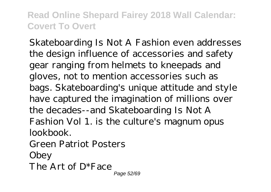Skateboarding Is Not A Fashion even addresses the design influence of accessories and safety gear ranging from helmets to kneepads and gloves, not to mention accessories such as bags. Skateboarding's unique attitude and style have captured the imagination of millions over the decades--and Skateboarding Is Not A Fashion Vol 1. is the culture's magnum opus lookbook.

Green Patriot Posters

Obey

The Art of D\*Face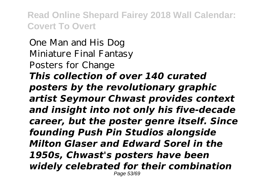One Man and His Dog Miniature Final Fantasy Posters for Change *This collection of over 140 curated posters by the revolutionary graphic artist Seymour Chwast provides context and insight into not only his five-decade career, but the poster genre itself. Since founding Push Pin Studios alongside Milton Glaser and Edward Sorel in the 1950s, Chwast's posters have been widely celebrated for their combination* Page 53/69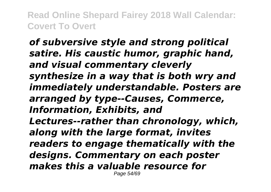*of subversive style and strong political satire. His caustic humor, graphic hand, and visual commentary cleverly synthesize in a way that is both wry and immediately understandable. Posters are arranged by type--Causes, Commerce, Information, Exhibits, and Lectures--rather than chronology, which, along with the large format, invites readers to engage thematically with the designs. Commentary on each poster makes this a valuable resource for* Page 54/69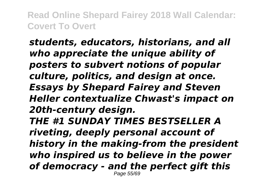*students, educators, historians, and all who appreciate the unique ability of posters to subvert notions of popular culture, politics, and design at once. Essays by Shepard Fairey and Steven Heller contextualize Chwast's impact on 20th-century design. THE #1 SUNDAY TIMES BESTSELLER A riveting, deeply personal account of history in the making-from the president who inspired us to believe in the power of democracy - and the perfect gift this* Page 55/69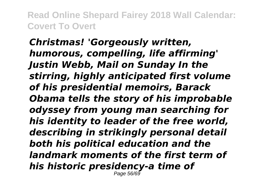*Christmas! 'Gorgeously written, humorous, compelling, life affirming' Justin Webb, Mail on Sunday In the stirring, highly anticipated first volume of his presidential memoirs, Barack Obama tells the story of his improbable odyssey from young man searching for his identity to leader of the free world, describing in strikingly personal detail both his political education and the landmark moments of the first term of his historic presidency-a time of* Page 56/69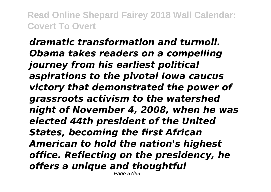*dramatic transformation and turmoil. Obama takes readers on a compelling journey from his earliest political aspirations to the pivotal Iowa caucus victory that demonstrated the power of grassroots activism to the watershed night of November 4, 2008, when he was elected 44th president of the United States, becoming the first African American to hold the nation's highest office. Reflecting on the presidency, he offers a unique and thoughtful* Page 57/69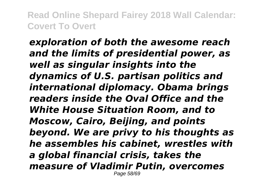*exploration of both the awesome reach and the limits of presidential power, as well as singular insights into the dynamics of U.S. partisan politics and international diplomacy. Obama brings readers inside the Oval Office and the White House Situation Room, and to Moscow, Cairo, Beijing, and points beyond. We are privy to his thoughts as he assembles his cabinet, wrestles with a global financial crisis, takes the measure of Vladimir Putin, overcomes* Page 58/69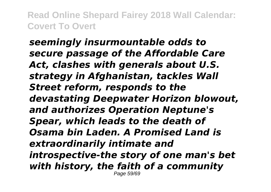*seemingly insurmountable odds to secure passage of the Affordable Care Act, clashes with generals about U.S. strategy in Afghanistan, tackles Wall Street reform, responds to the devastating Deepwater Horizon blowout, and authorizes Operation Neptune's Spear, which leads to the death of Osama bin Laden. A Promised Land is extraordinarily intimate and introspective-the story of one man's bet with history, the faith of a community* Page 59/69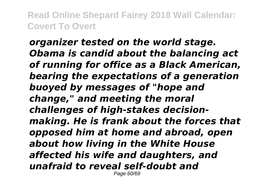*organizer tested on the world stage. Obama is candid about the balancing act of running for office as a Black American, bearing the expectations of a generation buoyed by messages of "hope and change," and meeting the moral challenges of high-stakes decisionmaking. He is frank about the forces that opposed him at home and abroad, open about how living in the White House affected his wife and daughters, and unafraid to reveal self-doubt and* Page 60/69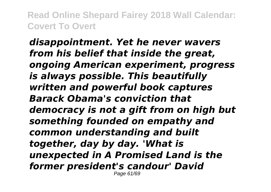*disappointment. Yet he never wavers from his belief that inside the great, ongoing American experiment, progress is always possible. This beautifully written and powerful book captures Barack Obama's conviction that democracy is not a gift from on high but something founded on empathy and common understanding and built together, day by day. 'What is unexpected in A Promised Land is the former president's candour' David* Page 61/69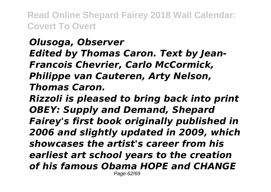# *Olusoga, Observer Edited by Thomas Caron. Text by Jean-Francois Chevrier, Carlo McCormick, Philippe van Cauteren, Arty Nelson, Thomas Caron. Rizzoli is pleased to bring back into print*

*OBEY: Supply and Demand, Shepard Fairey's first book originally published in 2006 and slightly updated in 2009, which showcases the artist's career from his earliest art school years to the creation of his famous Obama HOPE and CHANGE* Page 62/69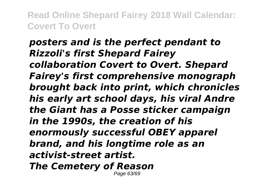### *posters and is the perfect pendant to Rizzoli's first Shepard Fairey collaboration Covert to Overt. Shepard Fairey's first comprehensive monograph brought back into print, which chronicles his early art school days, his viral Andre the Giant has a Posse sticker campaign in the 1990s, the creation of his enormously successful OBEY apparel brand, and his longtime role as an activist-street artist. The Cemetery of Reason* Page 63/69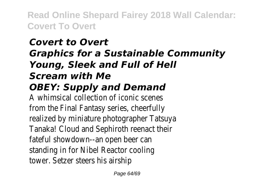# *Covert to Overt Graphics for a Sustainable Community Young, Sleek and Full of Hell Scream with Me OBEY: Supply and Demand*

A whimsical collection of iconic scenes from the Final Fantasy series, cheerfully realized by miniature photographer Tatsuya Tanaka! Cloud and Sephiroth reenact their fateful showdown--an open beer can standing in for Nibel Reactor cooling tower. Setzer steers his airship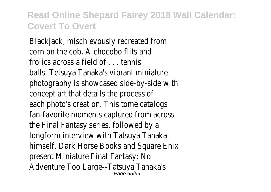Blackjack, mischievously recreated from corn on the cob. A chocobo flits and frolics across a field of . . . tennis balls. Tetsuya Tanaka's vibrant miniature photography is showcased side-by-side with concept art that details the process of each photo's creation. This tome catalogs fan-favorite moments captured from across the Final Fantasy series, followed by a longform interview with Tatsuya Tanaka himself. Dark Horse Books and Square Enix present Miniature Final Fantasy: No Adventure Too Large--Tatsuya Tanaka's Page 65/69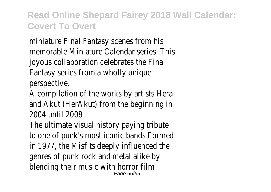miniature Final Fantasy scenes from his memorable Miniature Calendar series. This joyous collaboration celebrates the Final Fantasy series from a wholly unique perspective.

A compilation of the works by artists Hera and Akut (HerAkut) from the beginning in 2004 until 2008

The ultimate visual history paying tribute to one of punk's most iconic bands Formed in 1977, the Misfits deeply influenced the genres of punk rock and metal alike by blending their music with horror film Page 66/69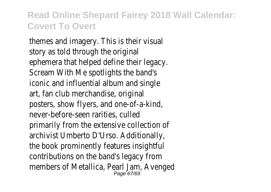themes and imagery. This is their visual story as told through the original ephemera that helped define their legacy. Scream With Me spotlights the band's iconic and influential album and single art, fan club merchandise, original posters, show flyers, and one-of-a-kind, never-before-seen rarities, culled primarily from the extensive collection of archivist Umberto D'Urso. Additionally, the book prominently features insightful contributions on the band's legacy from members of Metallica, Pearl Jam, Avenged Page 67/69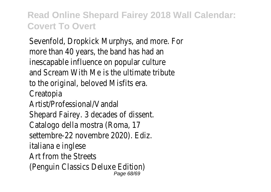Sevenfold, Dropkick Murphys, and more. For more than 40 years, the band has had an inescapable influence on popular culture and Scream With Me is the ultimate tribute to the original, beloved Misfits era. Creatopia Artist/Professional/Vandal Shepard Fairey. 3 decades of dissent. Catalogo della mostra (Roma, 17 settembre-22 novembre 2020). Ediz. italiana e inglese Art from the Streets (Penguin Classics Deluxe Edition) Page 68/69